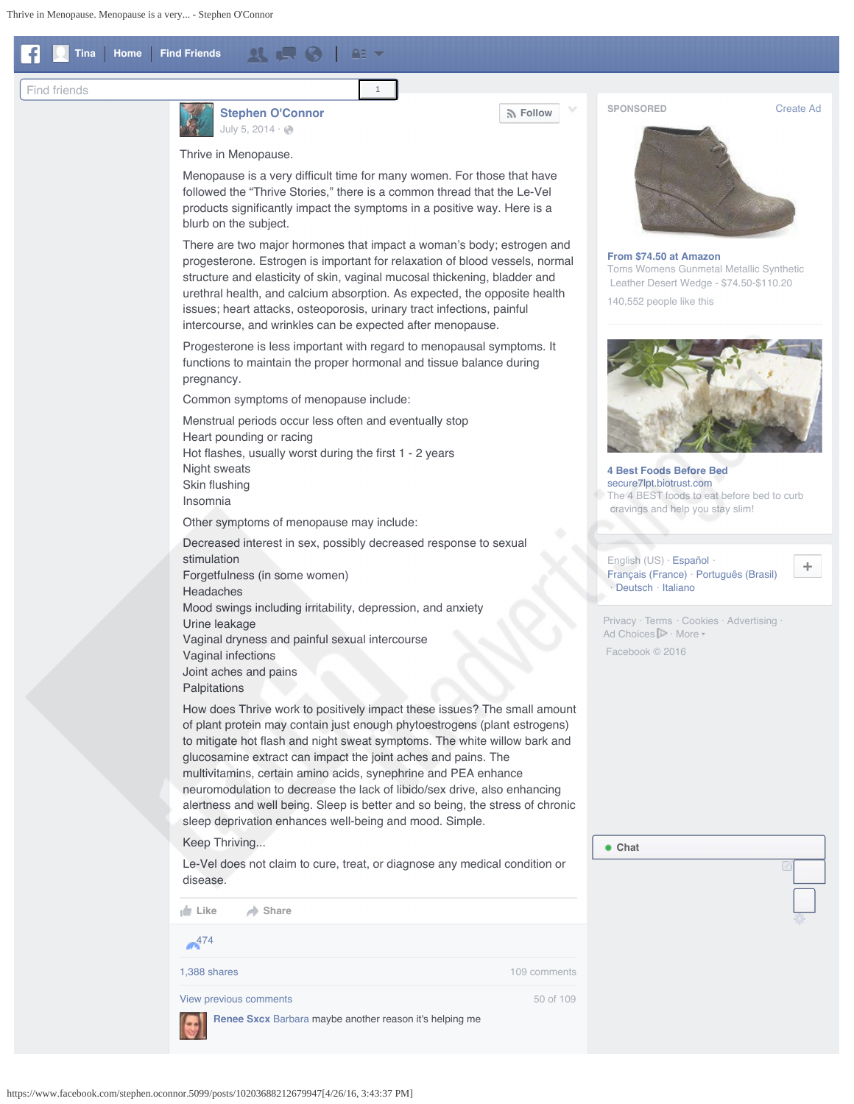<span id="page-0-0"></span>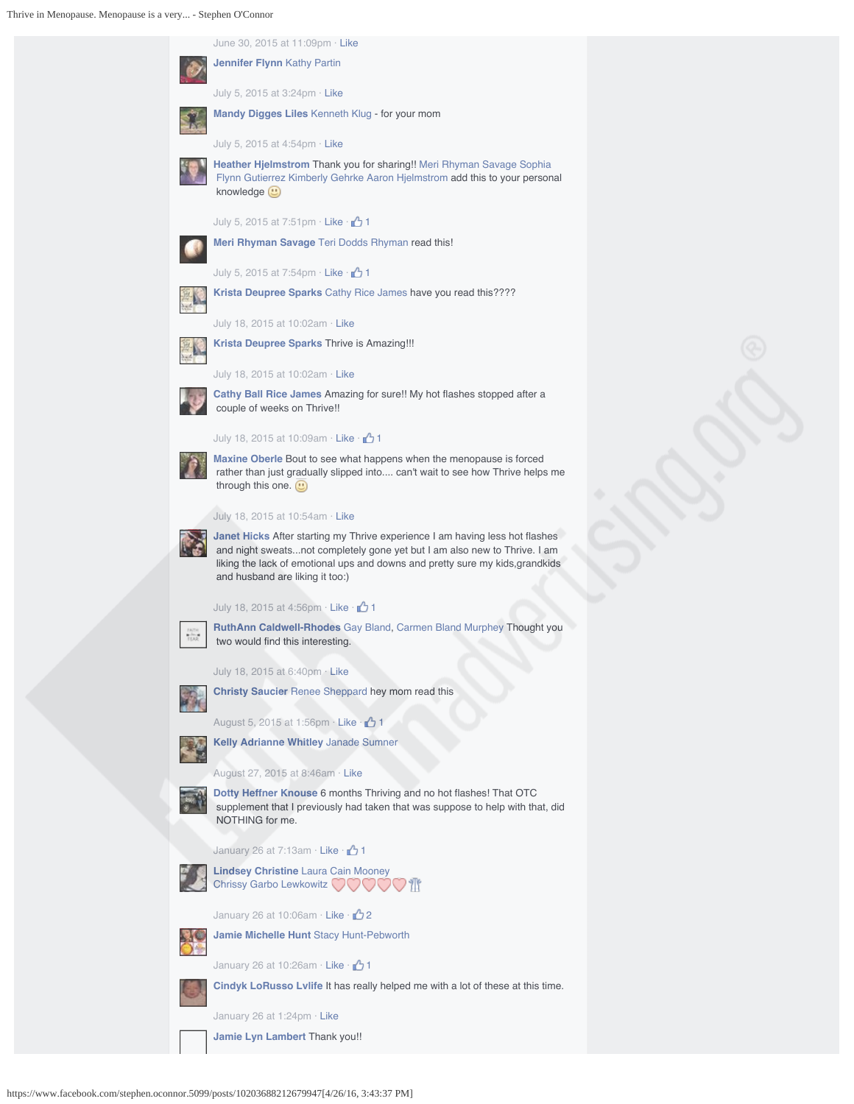Thrive in Menopause. Menopause is a very... - Stephen O'Connor

| June 30, 2015 at 11:09pm $\cdot$ Like                                                                                                                                                                                                                                               |
|-------------------------------------------------------------------------------------------------------------------------------------------------------------------------------------------------------------------------------------------------------------------------------------|
| <b>Jennifer Flynn Kathy Partin</b>                                                                                                                                                                                                                                                  |
| July 5, 2015 at 3:24pm $\cdot$ Like                                                                                                                                                                                                                                                 |
| <b>Mandy Digges Liles</b> Kenneth Klug - for your mom                                                                                                                                                                                                                               |
| July 5, 2015 at 4:54pm $\cdot$ Like                                                                                                                                                                                                                                                 |
| <b>Heather Hjelmstrom Thank you for sharing!! Meri Rhyman Savage Sophia</b><br>Flynn Gutierrez Kimberly Gehrke Aaron Hjelmstrom add this to your personal<br>knowledge (")                                                                                                          |
| July 5, 2015 at 7:51pm Like $\cdot$ 1                                                                                                                                                                                                                                               |
| Meri Rhyman Savage Teri Dodds Rhyman read this!                                                                                                                                                                                                                                     |
| July 5, 2015 at 7:54pm Like $\cdot$ 1                                                                                                                                                                                                                                               |
| <b>Krista Deupree Sparks</b> Cathy Rice James have you read this????                                                                                                                                                                                                                |
| July 18, 2015 at 10:02am $\cdot$ Like                                                                                                                                                                                                                                               |
| <b>Krista Deupree Sparks Thrive is Amazing!!!</b>                                                                                                                                                                                                                                   |
| July 18, 2015 at 10:02am $\cdot$ Like                                                                                                                                                                                                                                               |
| Cathy Ball Rice James Amazing for sure!! My hot flashes stopped after a<br>couple of weeks on Thrive!!                                                                                                                                                                              |
| July 18, 2015 at 10:09am $\cdot$ Like $\cdot$ $\rightarrow$ 1                                                                                                                                                                                                                       |
| <b>Maxine Oberle</b> Bout to see what happens when the menopause is forced<br>rather than just gradually slipped into can't wait to see how Thrive helps me<br>through this one. $\Box$                                                                                             |
| July 18, 2015 at 10:54am · Like                                                                                                                                                                                                                                                     |
| <b>Janet Hicks</b> After starting my Thrive experience I am having less hot flashes<br>and night sweatsnot completely gone yet but I am also new to Thrive. I am<br>liking the lack of emotional ups and downs and pretty sure my kids,grandkids<br>and husband are liking it too:) |
| July 18, 2015 at 4:56pm $\cdot$ Like $\cdot$ 1                                                                                                                                                                                                                                      |
| <b>RuthAnn Caldwell-Rhodes</b> Gay Bland, Carmen Bland Murphey Thought you<br>two would find this interesting.                                                                                                                                                                      |
| July 18, 2015 at 6:40pm · Like                                                                                                                                                                                                                                                      |
| <b>Christy Saucier</b> Renee Sheppard hey mom read this                                                                                                                                                                                                                             |
| 1 August 5, 2015 at 1:56pm $\cdot$ Like $\cdot$ 1                                                                                                                                                                                                                                   |
| <b>Kelly Adrianne Whitley Janade Sumner</b>                                                                                                                                                                                                                                         |
| August 27, 2015 at 8:46am $\cdot$ Like                                                                                                                                                                                                                                              |
| Dotty Heffner Knouse 6 months Thriving and no hot flashes! That OTC<br>supplement that I previously had taken that was suppose to help with that, did<br>NOTHING for me.                                                                                                            |
| January 26 at 7:13am $\cdot$ Like $\cdot$ $\cdot$ 1                                                                                                                                                                                                                                 |
| <b>Lindsey Christine Laura Cain Mooney</b><br>Chrissy Garbo Lewkowitz                                                                                                                                                                                                               |
| January 26 at 10:06am $\cdot$ Like $\cdot$ $\rightarrow$ 2                                                                                                                                                                                                                          |
| Jamie Michelle Hunt Stacy Hunt-Pebworth                                                                                                                                                                                                                                             |
| 1 <sup>1</sup> /January 26 at 10:26am · Like · 1                                                                                                                                                                                                                                    |
| Cindyk LoRusso Lvlife It has really helped me with a lot of these at this time.                                                                                                                                                                                                     |
| January 26 at 1:24pm $\cdot$ Like                                                                                                                                                                                                                                                   |
| Jamie Lyn Lambert Thank you!!                                                                                                                                                                                                                                                       |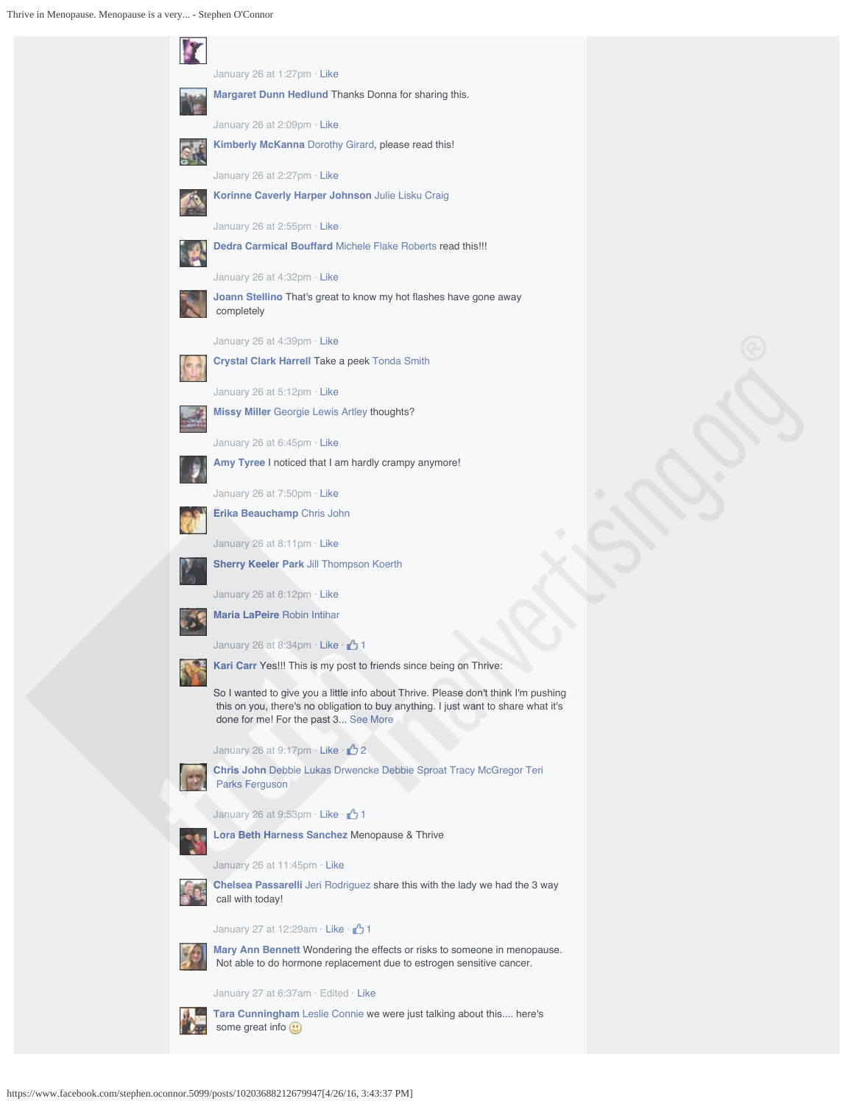